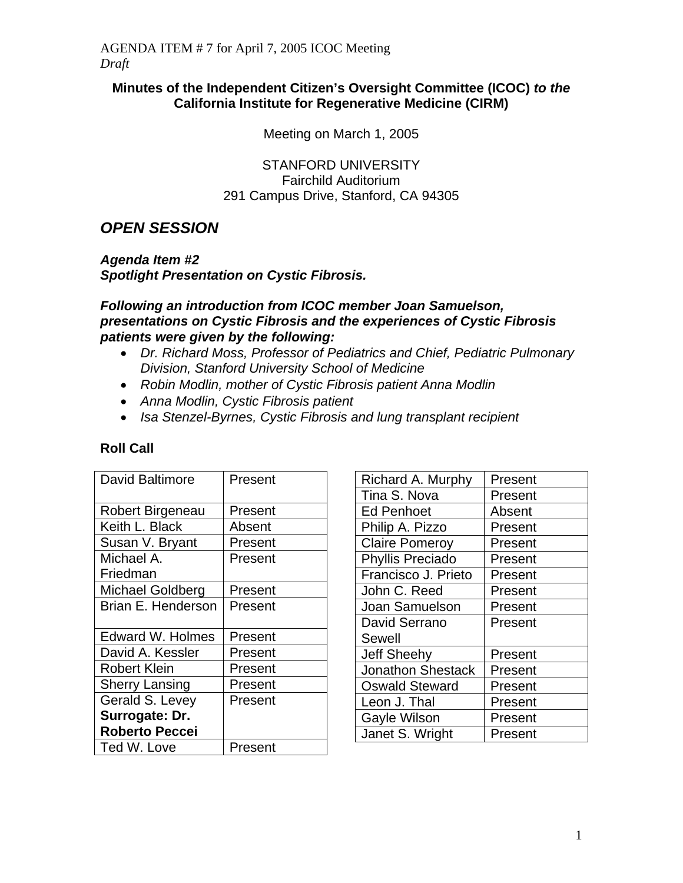#### **Minutes of the Independent Citizen's Oversight Committee (ICOC)** *to the* **California Institute for Regenerative Medicine (CIRM)**

Meeting on March 1, 2005

STANFORD UNIVERSITY Fairchild Auditorium 291 Campus Drive, Stanford, CA 94305

# *OPEN SESSION*

*Agenda Item #2 Spotlight Presentation on Cystic Fibrosis.* 

*Following an introduction from ICOC member Joan Samuelson, presentations on Cystic Fibrosis and the experiences of Cystic Fibrosis* 

*patients were given by the following:* 

- *Dr. Richard Moss, Professor of Pediatrics and Chief, Pediatric Pulmonary Division, Stanford University School of Medicine*
- *Robin Modlin, mother of Cystic Fibrosis patient Anna Modlin*
- *Anna Modlin, Cystic Fibrosis patient*
- *Isa Stenzel-Byrnes, Cystic Fibrosis and lung transplant recipient*

| <b>David Baltimore</b>  | Present |
|-------------------------|---------|
| Robert Birgeneau        | Present |
| Keith L. Black          | Absent  |
| Susan V. Bryant         | Present |
| Michael A.              | Present |
| Friedman                |         |
| <b>Michael Goldberg</b> | Present |
| Brian E. Henderson      | Present |
|                         |         |
| <b>Edward W. Holmes</b> | Present |
| David A. Kessler        | Present |
| <b>Robert Klein</b>     | Present |
| <b>Sherry Lansing</b>   | Present |
| Gerald S. Levey         | Present |
| Surrogate: Dr.          |         |
| <b>Roberto Peccei</b>   |         |
| Ted W. Love             | Present |

| Richard A. Murphy        | Present |
|--------------------------|---------|
| Tina S. Nova             | Present |
| <b>Ed Penhoet</b>        | Absent  |
| Philip A. Pizzo          | Present |
| <b>Claire Pomeroy</b>    | Present |
| <b>Phyllis Preciado</b>  | Present |
| Francisco J. Prieto      | Present |
| John C. Reed             | Present |
| Joan Samuelson           | Present |
| David Serrano            | Present |
| Sewell                   |         |
| <b>Jeff Sheehy</b>       | Present |
| <b>Jonathon Shestack</b> | Present |
| <b>Oswald Steward</b>    | Present |
| Leon J. Thal             | Present |
| <b>Gayle Wilson</b>      | Present |
| Janet S. Wright          | Present |

### **Roll Call**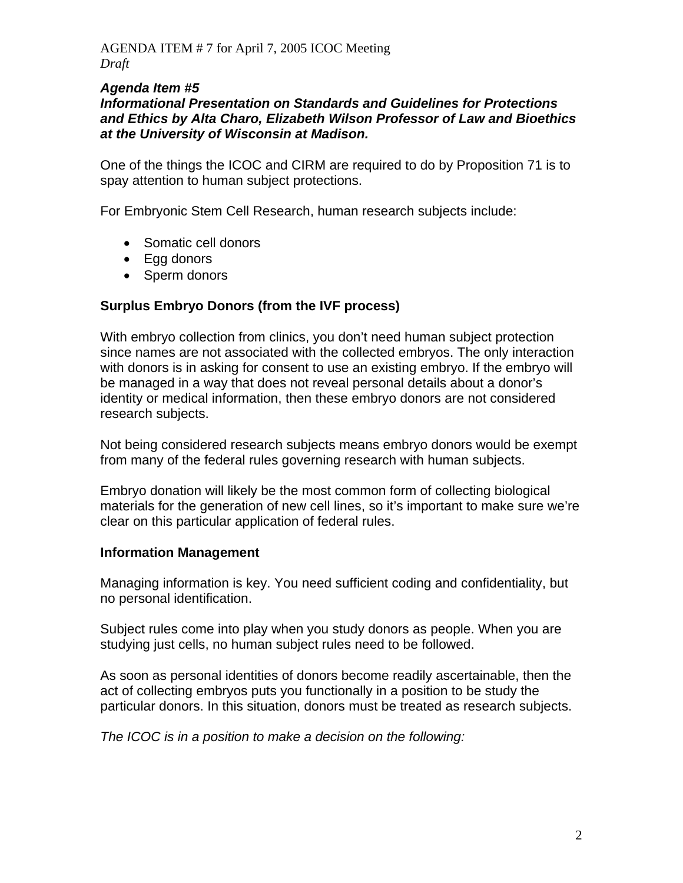#### *Agenda Item #5*

#### *Informational Presentation on Standards and Guidelines for Protections and Ethics by Alta Charo, Elizabeth Wilson Professor of Law and Bioethics at the University of Wisconsin at Madison.*

One of the things the ICOC and CIRM are required to do by Proposition 71 is to spay attention to human subject protections.

For Embryonic Stem Cell Research, human research subjects include:

- Somatic cell donors
- Egg donors
- Sperm donors

#### **Surplus Embryo Donors (from the IVF process)**

With embryo collection from clinics, you don't need human subject protection since names are not associated with the collected embryos. The only interaction with donors is in asking for consent to use an existing embryo. If the embryo will be managed in a way that does not reveal personal details about a donor's identity or medical information, then these embryo donors are not considered research subjects.

Not being considered research subjects means embryo donors would be exempt from many of the federal rules governing research with human subjects.

Embryo donation will likely be the most common form of collecting biological materials for the generation of new cell lines, so it's important to make sure we're clear on this particular application of federal rules.

#### **Information Management**

Managing information is key. You need sufficient coding and confidentiality, but no personal identification.

Subject rules come into play when you study donors as people. When you are studying just cells, no human subject rules need to be followed.

As soon as personal identities of donors become readily ascertainable, then the act of collecting embryos puts you functionally in a position to be study the particular donors. In this situation, donors must be treated as research subjects.

*The ICOC is in a position to make a decision on the following:*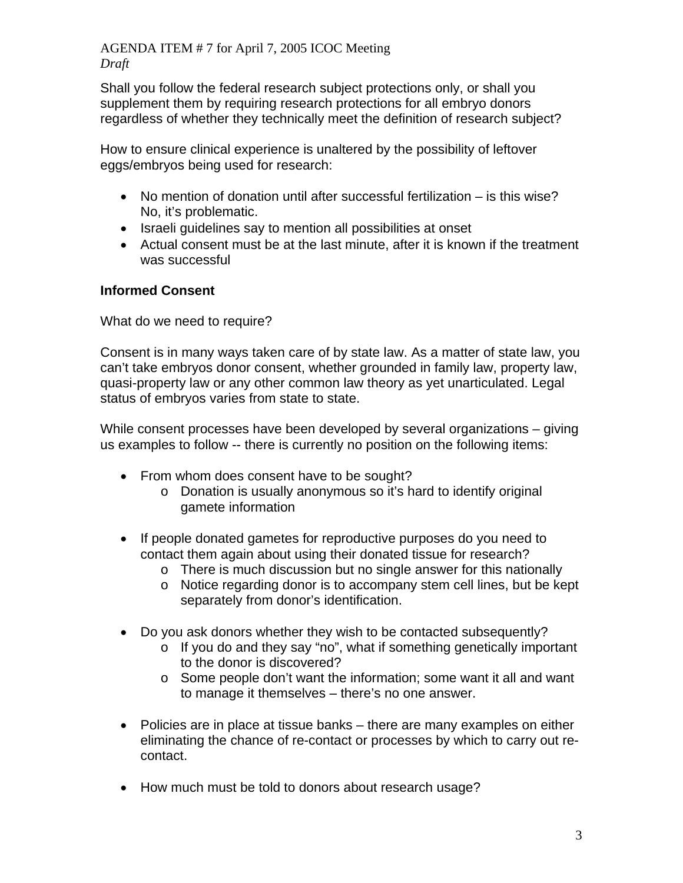Shall you follow the federal research subject protections only, or shall you supplement them by requiring research protections for all embryo donors regardless of whether they technically meet the definition of research subject?

How to ensure clinical experience is unaltered by the possibility of leftover eggs/embryos being used for research:

- No mention of donation until after successful fertilization is this wise? No, it's problematic.
- Israeli guidelines say to mention all possibilities at onset
- Actual consent must be at the last minute, after it is known if the treatment was successful

# **Informed Consent**

What do we need to require?

Consent is in many ways taken care of by state law. As a matter of state law, you can't take embryos donor consent, whether grounded in family law, property law, quasi-property law or any other common law theory as yet unarticulated. Legal status of embryos varies from state to state.

While consent processes have been developed by several organizations – giving us examples to follow -- there is currently no position on the following items:

- From whom does consent have to be sought?
	- o Donation is usually anonymous so it's hard to identify original gamete information
- If people donated gametes for reproductive purposes do you need to contact them again about using their donated tissue for research?
	- o There is much discussion but no single answer for this nationally
	- $\circ$  Notice regarding donor is to accompany stem cell lines, but be kept separately from donor's identification.
- Do you ask donors whether they wish to be contacted subsequently?
	- o If you do and they say "no", what if something genetically important to the donor is discovered?
	- o Some people don't want the information; some want it all and want to manage it themselves – there's no one answer.
- Policies are in place at tissue banks there are many examples on either eliminating the chance of re-contact or processes by which to carry out recontact.
- How much must be told to donors about research usage?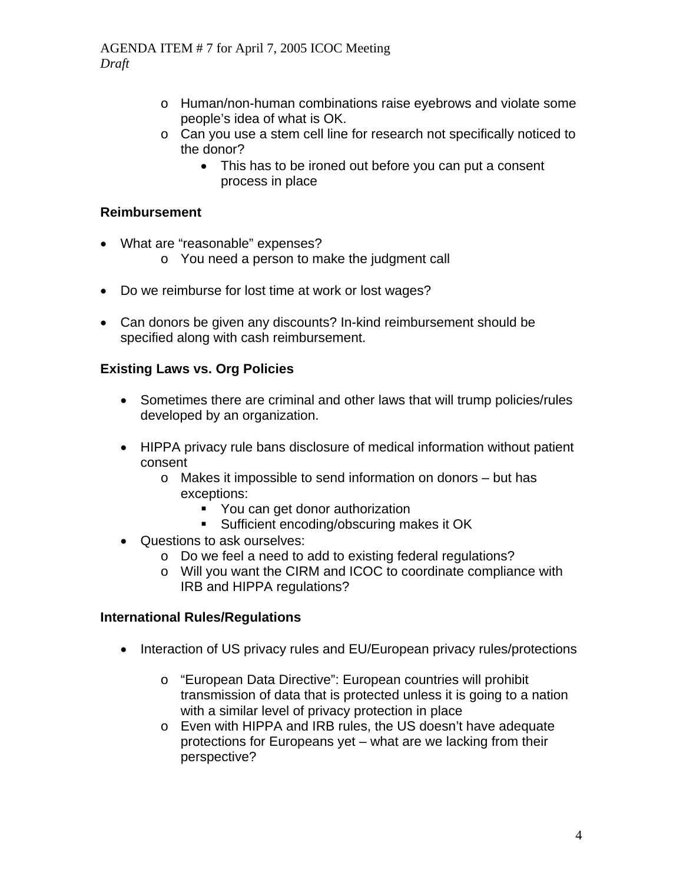- o Human/non-human combinations raise eyebrows and violate some people's idea of what is OK.
- o Can you use a stem cell line for research not specifically noticed to the donor?
	- This has to be ironed out before you can put a consent process in place

## **Reimbursement**

- What are "reasonable" expenses?
	- o You need a person to make the judgment call
- Do we reimburse for lost time at work or lost wages?
- Can donors be given any discounts? In-kind reimbursement should be specified along with cash reimbursement.

## **Existing Laws vs. Org Policies**

- Sometimes there are criminal and other laws that will trump policies/rules developed by an organization.
- HIPPA privacy rule bans disclosure of medical information without patient consent
	- o Makes it impossible to send information on donors but has exceptions:
		- You can get donor authorization
		- **Sufficient encoding/obscuring makes it OK**
- Questions to ask ourselves:
	- o Do we feel a need to add to existing federal regulations?
	- o Will you want the CIRM and ICOC to coordinate compliance with IRB and HIPPA regulations?

#### **International Rules/Regulations**

- Interaction of US privacy rules and EU/European privacy rules/protections
	- o "European Data Directive": European countries will prohibit transmission of data that is protected unless it is going to a nation with a similar level of privacy protection in place
	- o Even with HIPPA and IRB rules, the US doesn't have adequate protections for Europeans yet – what are we lacking from their perspective?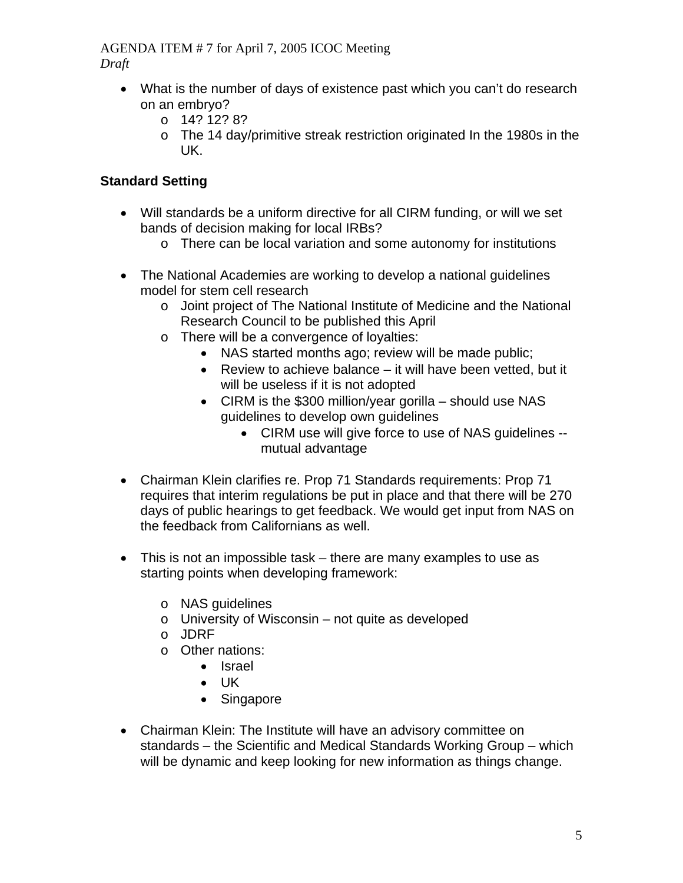- What is the number of days of existence past which you can't do research on an embryo?
	- $O$  14? 12? 8?
	- o The 14 day/primitive streak restriction originated In the 1980s in the UK.

# **Standard Setting**

- Will standards be a uniform directive for all CIRM funding, or will we set bands of decision making for local IRBs?
	- o There can be local variation and some autonomy for institutions
- The National Academies are working to develop a national guidelines model for stem cell research
	- o Joint project of The National Institute of Medicine and the National Research Council to be published this April
	- o There will be a convergence of loyalties:
		- NAS started months ago; review will be made public;
		- Review to achieve balance it will have been vetted, but it will be useless if it is not adopted
		- CIRM is the \$300 million/year gorilla should use NAS guidelines to develop own guidelines
			- CIRM use will give force to use of NAS guidelines mutual advantage
- Chairman Klein clarifies re. Prop 71 Standards requirements: Prop 71 requires that interim regulations be put in place and that there will be 270 days of public hearings to get feedback. We would get input from NAS on the feedback from Californians as well.
- This is not an impossible task there are many examples to use as starting points when developing framework:
	- o NAS guidelines
	- o University of Wisconsin not quite as developed
	- o JDRF
	- o Other nations:
		- Israel
		- UK
		- Singapore
- Chairman Klein: The Institute will have an advisory committee on standards – the Scientific and Medical Standards Working Group – which will be dynamic and keep looking for new information as things change.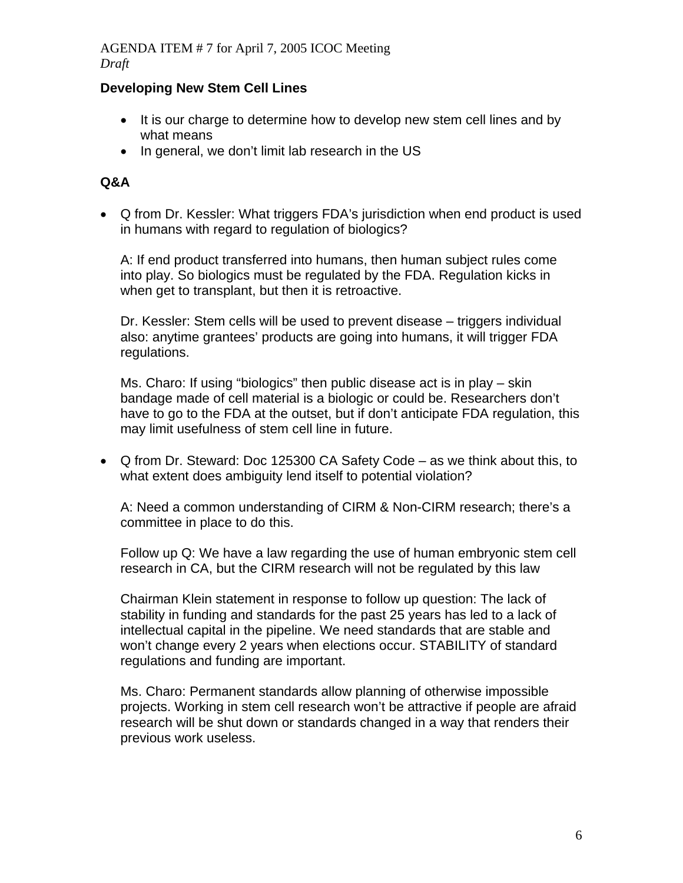### **Developing New Stem Cell Lines**

- It is our charge to determine how to develop new stem cell lines and by what means
- In general, we don't limit lab research in the US

### **Q&A**

• Q from Dr. Kessler: What triggers FDA's jurisdiction when end product is used in humans with regard to regulation of biologics?

A: If end product transferred into humans, then human subject rules come into play. So biologics must be regulated by the FDA. Regulation kicks in when get to transplant, but then it is retroactive.

Dr. Kessler: Stem cells will be used to prevent disease – triggers individual also: anytime grantees' products are going into humans, it will trigger FDA regulations.

Ms. Charo: If using "biologics" then public disease act is in play – skin bandage made of cell material is a biologic or could be. Researchers don't have to go to the FDA at the outset, but if don't anticipate FDA regulation, this may limit usefulness of stem cell line in future.

• Q from Dr. Steward: Doc 125300 CA Safety Code – as we think about this, to what extent does ambiguity lend itself to potential violation?

A: Need a common understanding of CIRM & Non-CIRM research; there's a committee in place to do this.

Follow up Q: We have a law regarding the use of human embryonic stem cell research in CA, but the CIRM research will not be regulated by this law

Chairman Klein statement in response to follow up question: The lack of stability in funding and standards for the past 25 years has led to a lack of intellectual capital in the pipeline. We need standards that are stable and won't change every 2 years when elections occur. STABILITY of standard regulations and funding are important.

Ms. Charo: Permanent standards allow planning of otherwise impossible projects. Working in stem cell research won't be attractive if people are afraid research will be shut down or standards changed in a way that renders their previous work useless.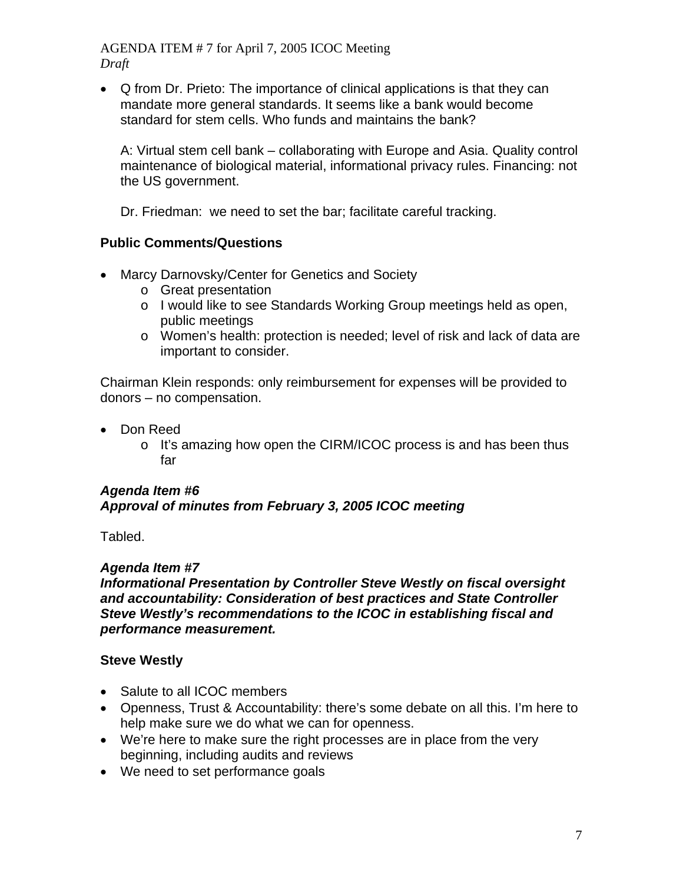• Q from Dr. Prieto: The importance of clinical applications is that they can mandate more general standards. It seems like a bank would become standard for stem cells. Who funds and maintains the bank?

A: Virtual stem cell bank – collaborating with Europe and Asia. Quality control maintenance of biological material, informational privacy rules. Financing: not the US government.

Dr. Friedman: we need to set the bar; facilitate careful tracking.

## **Public Comments/Questions**

- Marcy Darnovsky/Center for Genetics and Society
	- o Great presentation
	- o I would like to see Standards Working Group meetings held as open, public meetings
	- o Women's health: protection is needed; level of risk and lack of data are important to consider.

Chairman Klein responds: only reimbursement for expenses will be provided to donors – no compensation.

- Don Reed
	- o It's amazing how open the CIRM/ICOC process is and has been thus far

## *Agenda Item #6 Approval of minutes from February 3, 2005 ICOC meeting*

Tabled.

## *Agenda Item #7*

*Informational Presentation by Controller Steve Westly on fiscal oversight and accountability: Consideration of best practices and State Controller Steve Westly's recommendations to the ICOC in establishing fiscal and performance measurement.* 

## **Steve Westly**

- Salute to all ICOC members
- Openness, Trust & Accountability: there's some debate on all this. I'm here to help make sure we do what we can for openness.
- We're here to make sure the right processes are in place from the very beginning, including audits and reviews
- We need to set performance goals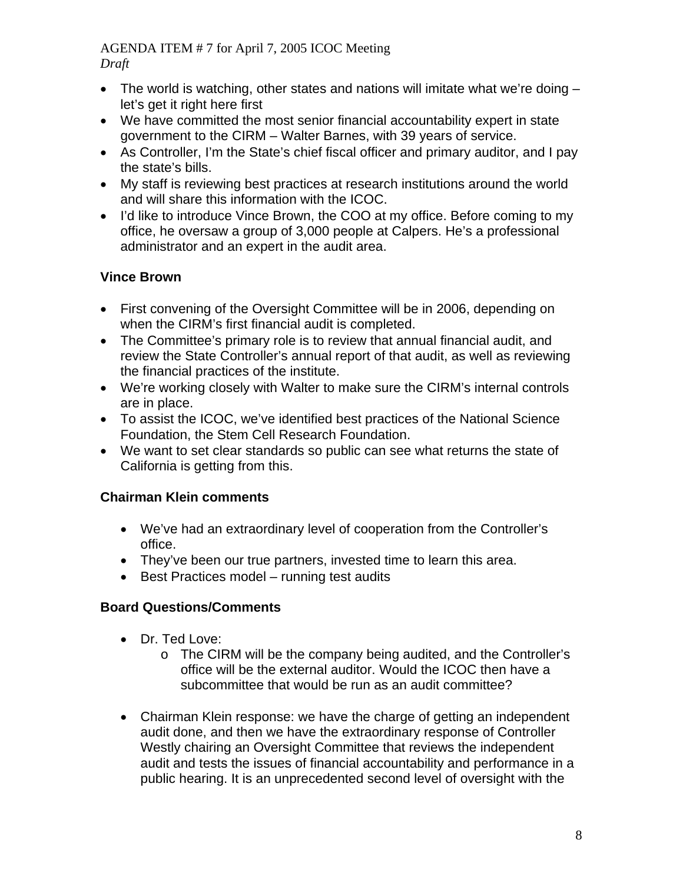- The world is watching, other states and nations will imitate what we're doing let's get it right here first
- We have committed the most senior financial accountability expert in state government to the CIRM – Walter Barnes, with 39 years of service.
- As Controller, I'm the State's chief fiscal officer and primary auditor, and I pay the state's bills.
- My staff is reviewing best practices at research institutions around the world and will share this information with the ICOC.
- I'd like to introduce Vince Brown, the COO at my office. Before coming to my office, he oversaw a group of 3,000 people at Calpers. He's a professional administrator and an expert in the audit area.

# **Vince Brown**

- First convening of the Oversight Committee will be in 2006, depending on when the CIRM's first financial audit is completed.
- The Committee's primary role is to review that annual financial audit, and review the State Controller's annual report of that audit, as well as reviewing the financial practices of the institute.
- We're working closely with Walter to make sure the CIRM's internal controls are in place.
- To assist the ICOC, we've identified best practices of the National Science Foundation, the Stem Cell Research Foundation.
- We want to set clear standards so public can see what returns the state of California is getting from this.

# **Chairman Klein comments**

- We've had an extraordinary level of cooperation from the Controller's office.
- They've been our true partners, invested time to learn this area.
- Best Practices model running test audits

# **Board Questions/Comments**

- Dr. Ted Love:
	- o The CIRM will be the company being audited, and the Controller's office will be the external auditor. Would the ICOC then have a subcommittee that would be run as an audit committee?
- Chairman Klein response: we have the charge of getting an independent audit done, and then we have the extraordinary response of Controller Westly chairing an Oversight Committee that reviews the independent audit and tests the issues of financial accountability and performance in a public hearing. It is an unprecedented second level of oversight with the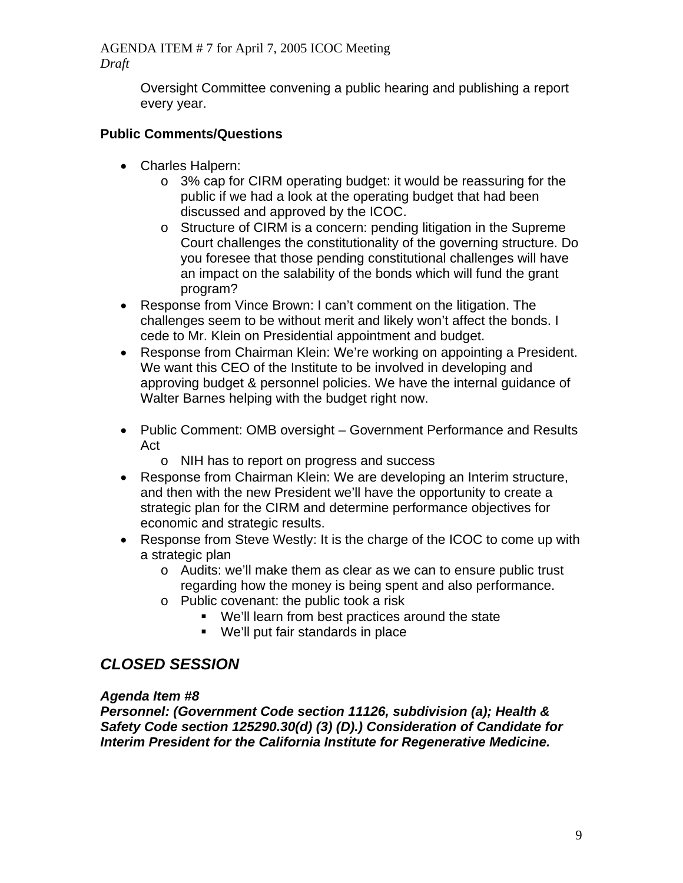> Oversight Committee convening a public hearing and publishing a report every year.

# **Public Comments/Questions**

- Charles Halpern:
	- o 3% cap for CIRM operating budget: it would be reassuring for the public if we had a look at the operating budget that had been discussed and approved by the ICOC.
	- o Structure of CIRM is a concern: pending litigation in the Supreme Court challenges the constitutionality of the governing structure. Do you foresee that those pending constitutional challenges will have an impact on the salability of the bonds which will fund the grant program?
- Response from Vince Brown: I can't comment on the litigation. The challenges seem to be without merit and likely won't affect the bonds. I cede to Mr. Klein on Presidential appointment and budget.
- Response from Chairman Klein: We're working on appointing a President. We want this CEO of the Institute to be involved in developing and approving budget & personnel policies. We have the internal guidance of Walter Barnes helping with the budget right now.
- Public Comment: OMB oversight Government Performance and Results Act
	- o NIH has to report on progress and success
- Response from Chairman Klein: We are developing an Interim structure, and then with the new President we'll have the opportunity to create a strategic plan for the CIRM and determine performance objectives for economic and strategic results.
- Response from Steve Westly: It is the charge of the ICOC to come up with a strategic plan
	- o Audits: we'll make them as clear as we can to ensure public trust regarding how the money is being spent and also performance.
	- o Public covenant: the public took a risk
		- We'll learn from best practices around the state
		- We'll put fair standards in place

# *CLOSED SESSION*

## *Agenda Item #8*

*Personnel: (Government Code section 11126, subdivision (a); Health & Safety Code section 125290.30(d) (3) (D).) Consideration of Candidate for Interim President for the California Institute for Regenerative Medicine.*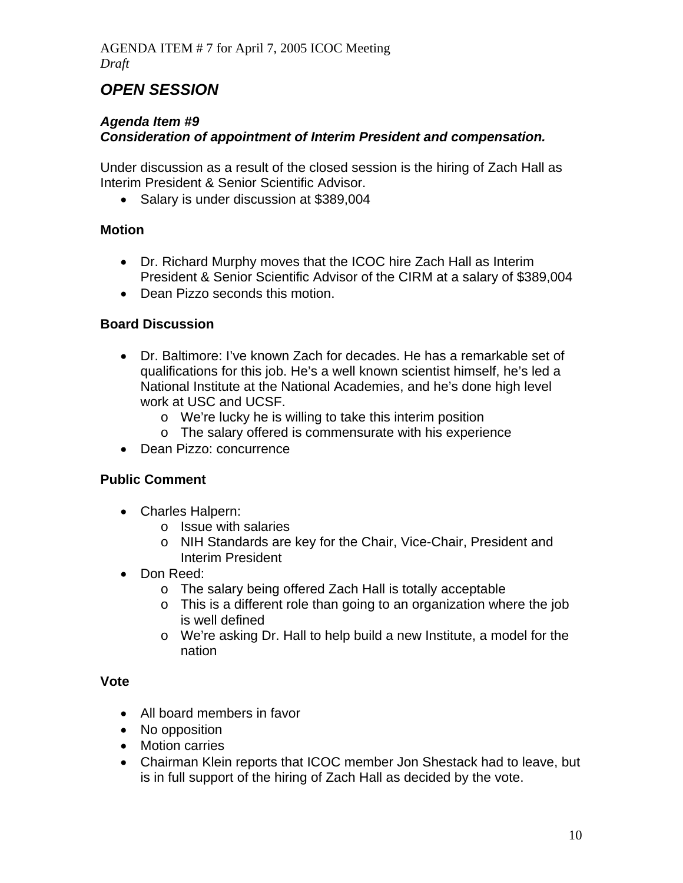# *OPEN SESSION*

# *Agenda Item #9*

# *Consideration of appointment of Interim President and compensation.*

Under discussion as a result of the closed session is the hiring of Zach Hall as Interim President & Senior Scientific Advisor.

• Salary is under discussion at \$389,004

# **Motion**

- Dr. Richard Murphy moves that the ICOC hire Zach Hall as Interim President & Senior Scientific Advisor of the CIRM at a salary of \$389,004
- Dean Pizzo seconds this motion.

# **Board Discussion**

- Dr. Baltimore: I've known Zach for decades. He has a remarkable set of qualifications for this job. He's a well known scientist himself, he's led a National Institute at the National Academies, and he's done high level work at USC and UCSF.
	- o We're lucky he is willing to take this interim position
	- o The salary offered is commensurate with his experience
- Dean Pizzo: concurrence

## **Public Comment**

- Charles Halpern:
	- o Issue with salaries
	- o NIH Standards are key for the Chair, Vice-Chair, President and Interim President
- Don Reed:
	- o The salary being offered Zach Hall is totally acceptable
	- o This is a different role than going to an organization where the job is well defined
	- o We're asking Dr. Hall to help build a new Institute, a model for the nation

#### **Vote**

- All board members in favor
- No opposition
- Motion carries
- Chairman Klein reports that ICOC member Jon Shestack had to leave, but is in full support of the hiring of Zach Hall as decided by the vote.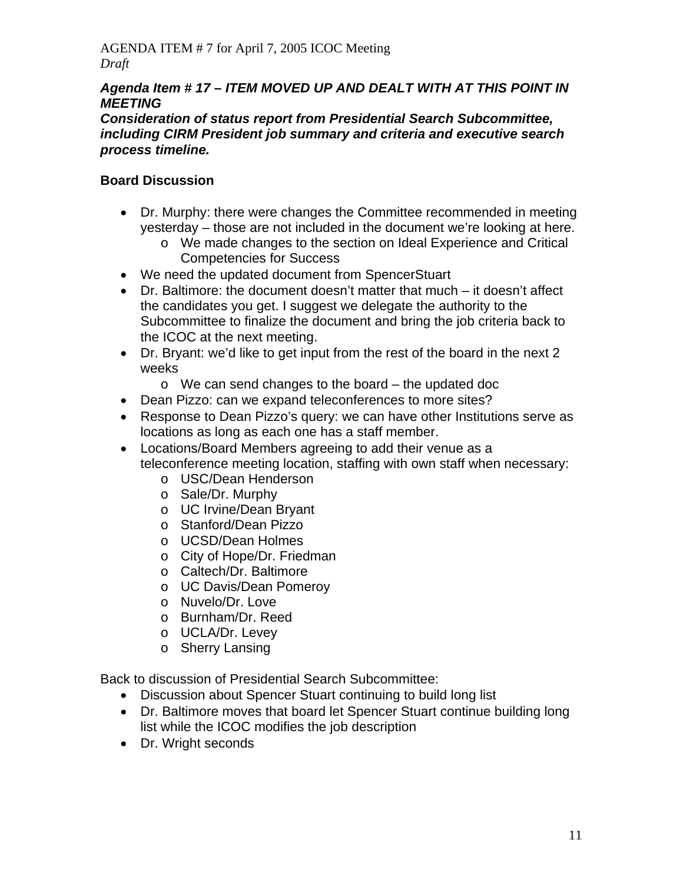## *Agenda Item # 17 – ITEM MOVED UP AND DEALT WITH AT THIS POINT IN MEETING*

#### *Consideration of status report from Presidential Search Subcommittee, including CIRM President job summary and criteria and executive search process timeline.*

# **Board Discussion**

- Dr. Murphy: there were changes the Committee recommended in meeting yesterday – those are not included in the document we're looking at here.
	- o We made changes to the section on Ideal Experience and Critical Competencies for Success
- We need the updated document from SpencerStuart
- Dr. Baltimore: the document doesn't matter that much it doesn't affect the candidates you get. I suggest we delegate the authority to the Subcommittee to finalize the document and bring the job criteria back to the ICOC at the next meeting.
- Dr. Bryant: we'd like to get input from the rest of the board in the next 2 weeks
	- o We can send changes to the board the updated doc
- Dean Pizzo: can we expand teleconferences to more sites?
- Response to Dean Pizzo's query: we can have other Institutions serve as locations as long as each one has a staff member.
- Locations/Board Members agreeing to add their venue as a teleconference meeting location, staffing with own staff when necessary:
	- o USC/Dean Henderson
	- o Sale/Dr. Murphy
	- o UC Irvine/Dean Bryant
	- o Stanford/Dean Pizzo
	- o UCSD/Dean Holmes
	- o City of Hope/Dr. Friedman
	- o Caltech/Dr. Baltimore
	- o UC Davis/Dean Pomeroy
	- o Nuvelo/Dr. Love
	- o Burnham/Dr. Reed
	- o UCLA/Dr. Levey
	- o Sherry Lansing

Back to discussion of Presidential Search Subcommittee:

- Discussion about Spencer Stuart continuing to build long list
- Dr. Baltimore moves that board let Spencer Stuart continue building long list while the ICOC modifies the job description
- Dr. Wright seconds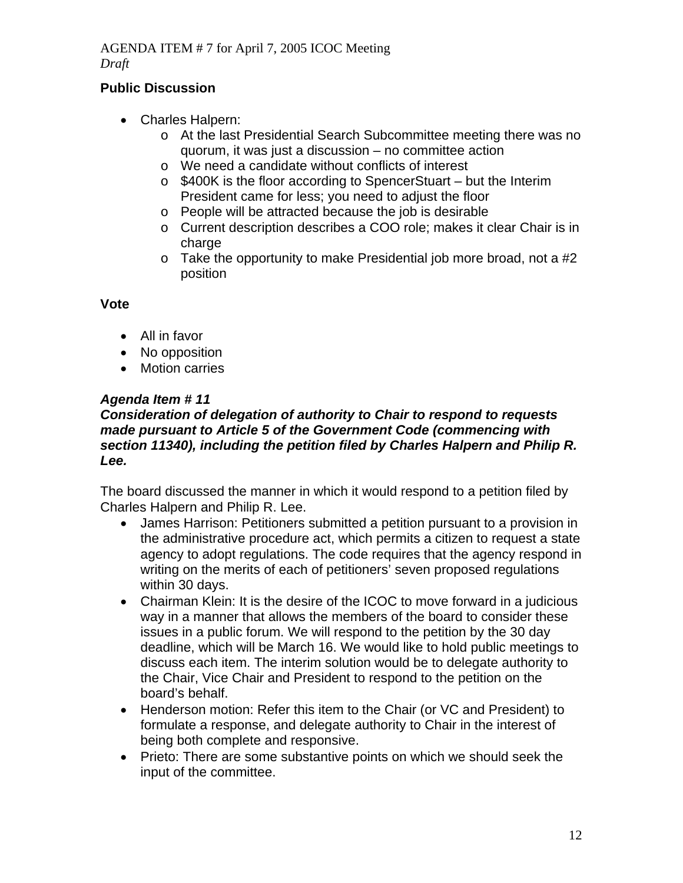# **Public Discussion**

- Charles Halpern:
	- o At the last Presidential Search Subcommittee meeting there was no quorum, it was just a discussion – no committee action
	- o We need a candidate without conflicts of interest
	- o \$400K is the floor according to SpencerStuart but the Interim President came for less; you need to adjust the floor
	- o People will be attracted because the job is desirable
	- o Current description describes a COO role; makes it clear Chair is in charge
	- $\circ$  Take the opportunity to make Presidential job more broad, not a #2 position

### **Vote**

- All in favor
- No opposition
- Motion carries

# *Agenda Item # 11*

### *Consideration of delegation of authority to Chair to respond to requests made pursuant to Article 5 of the Government Code (commencing with section 11340), including the petition filed by Charles Halpern and Philip R. Lee.*

The board discussed the manner in which it would respond to a petition filed by Charles Halpern and Philip R. Lee.

- James Harrison: Petitioners submitted a petition pursuant to a provision in the administrative procedure act, which permits a citizen to request a state agency to adopt regulations. The code requires that the agency respond in writing on the merits of each of petitioners' seven proposed regulations within 30 days.
- Chairman Klein: It is the desire of the ICOC to move forward in a judicious way in a manner that allows the members of the board to consider these issues in a public forum. We will respond to the petition by the 30 day deadline, which will be March 16. We would like to hold public meetings to discuss each item. The interim solution would be to delegate authority to the Chair, Vice Chair and President to respond to the petition on the board's behalf.
- Henderson motion: Refer this item to the Chair (or VC and President) to formulate a response, and delegate authority to Chair in the interest of being both complete and responsive.
- Prieto: There are some substantive points on which we should seek the input of the committee.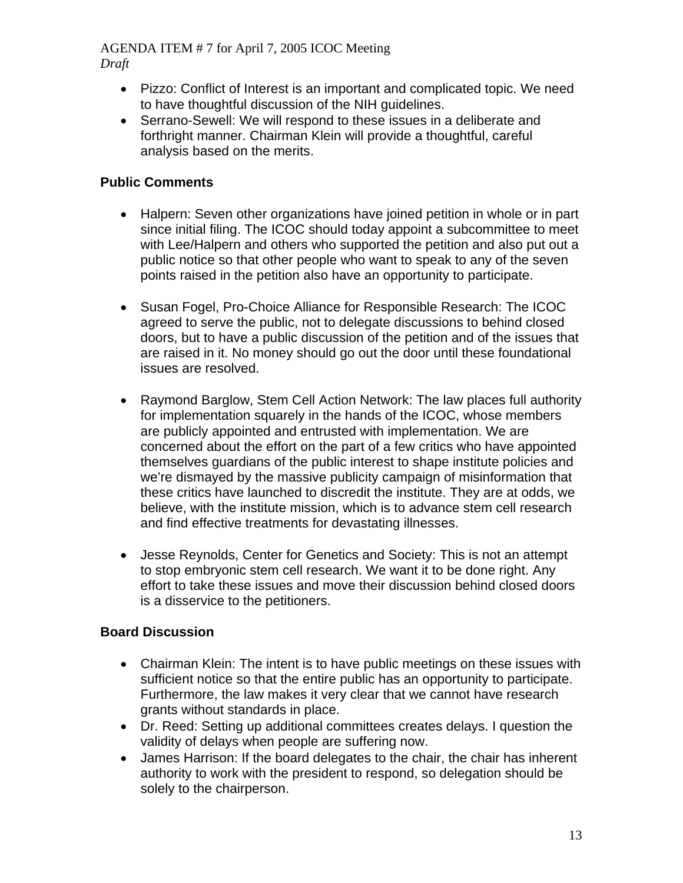- Pizzo: Conflict of Interest is an important and complicated topic. We need to have thoughtful discussion of the NIH guidelines.
- Serrano-Sewell: We will respond to these issues in a deliberate and forthright manner. Chairman Klein will provide a thoughtful, careful analysis based on the merits.

# **Public Comments**

- Halpern: Seven other organizations have joined petition in whole or in part since initial filing. The ICOC should today appoint a subcommittee to meet with Lee/Halpern and others who supported the petition and also put out a public notice so that other people who want to speak to any of the seven points raised in the petition also have an opportunity to participate.
- Susan Fogel, Pro-Choice Alliance for Responsible Research: The ICOC agreed to serve the public, not to delegate discussions to behind closed doors, but to have a public discussion of the petition and of the issues that are raised in it. No money should go out the door until these foundational issues are resolved.
- Raymond Barglow, Stem Cell Action Network: The law places full authority for implementation squarely in the hands of the ICOC, whose members are publicly appointed and entrusted with implementation. We are concerned about the effort on the part of a few critics who have appointed themselves guardians of the public interest to shape institute policies and we're dismayed by the massive publicity campaign of misinformation that these critics have launched to discredit the institute. They are at odds, we believe, with the institute mission, which is to advance stem cell research and find effective treatments for devastating illnesses.
- Jesse Reynolds, Center for Genetics and Society: This is not an attempt to stop embryonic stem cell research. We want it to be done right. Any effort to take these issues and move their discussion behind closed doors is a disservice to the petitioners.

## **Board Discussion**

- Chairman Klein: The intent is to have public meetings on these issues with sufficient notice so that the entire public has an opportunity to participate. Furthermore, the law makes it very clear that we cannot have research grants without standards in place.
- Dr. Reed: Setting up additional committees creates delays. I question the validity of delays when people are suffering now.
- James Harrison: If the board delegates to the chair, the chair has inherent authority to work with the president to respond, so delegation should be solely to the chairperson.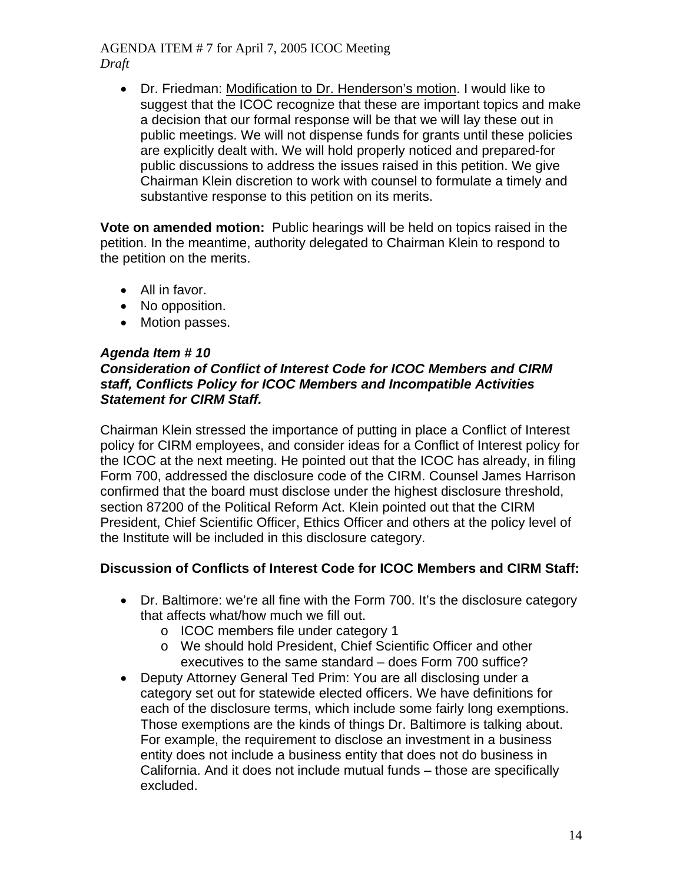• Dr. Friedman: Modification to Dr. Henderson's motion. I would like to suggest that the ICOC recognize that these are important topics and make a decision that our formal response will be that we will lay these out in public meetings. We will not dispense funds for grants until these policies are explicitly dealt with. We will hold properly noticed and prepared-for public discussions to address the issues raised in this petition. We give Chairman Klein discretion to work with counsel to formulate a timely and substantive response to this petition on its merits.

**Vote on amended motion:** Public hearings will be held on topics raised in the petition. In the meantime, authority delegated to Chairman Klein to respond to the petition on the merits.

- All in favor.
- No opposition.
- Motion passes.

#### *Agenda Item # 10 Consideration of Conflict of Interest Code for ICOC Members and CIRM staff, Conflicts Policy for ICOC Members and Incompatible Activities Statement for CIRM Staff.*

Chairman Klein stressed the importance of putting in place a Conflict of Interest policy for CIRM employees, and consider ideas for a Conflict of Interest policy for the ICOC at the next meeting. He pointed out that the ICOC has already, in filing Form 700, addressed the disclosure code of the CIRM. Counsel James Harrison confirmed that the board must disclose under the highest disclosure threshold, section 87200 of the Political Reform Act. Klein pointed out that the CIRM President, Chief Scientific Officer, Ethics Officer and others at the policy level of the Institute will be included in this disclosure category.

## **Discussion of Conflicts of Interest Code for ICOC Members and CIRM Staff:**

- Dr. Baltimore: we're all fine with the Form 700. It's the disclosure category that affects what/how much we fill out.
	- o ICOC members file under category 1
	- o We should hold President, Chief Scientific Officer and other executives to the same standard – does Form 700 suffice?
- Deputy Attorney General Ted Prim: You are all disclosing under a category set out for statewide elected officers. We have definitions for each of the disclosure terms, which include some fairly long exemptions. Those exemptions are the kinds of things Dr. Baltimore is talking about. For example, the requirement to disclose an investment in a business entity does not include a business entity that does not do business in California. And it does not include mutual funds – those are specifically excluded.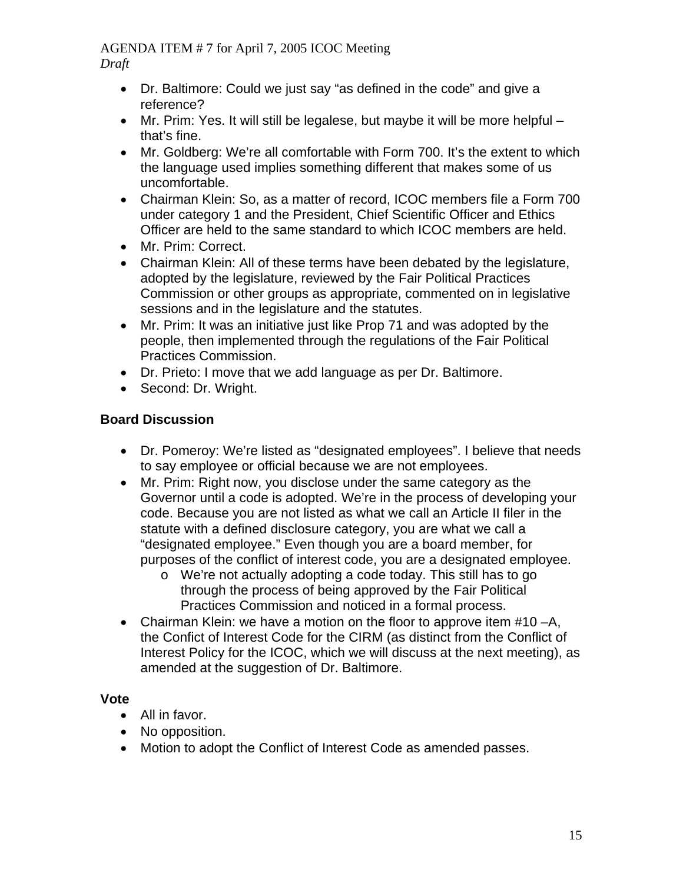- Dr. Baltimore: Could we just say "as defined in the code" and give a reference?
- Mr. Prim: Yes. It will still be legalese, but maybe it will be more helpful that's fine.
- Mr. Goldberg: We're all comfortable with Form 700. It's the extent to which the language used implies something different that makes some of us uncomfortable.
- Chairman Klein: So, as a matter of record, ICOC members file a Form 700 under category 1 and the President, Chief Scientific Officer and Ethics Officer are held to the same standard to which ICOC members are held.
- Mr. Prim: Correct.
- Chairman Klein: All of these terms have been debated by the legislature, adopted by the legislature, reviewed by the Fair Political Practices Commission or other groups as appropriate, commented on in legislative sessions and in the legislature and the statutes.
- Mr. Prim: It was an initiative just like Prop 71 and was adopted by the people, then implemented through the regulations of the Fair Political Practices Commission.
- Dr. Prieto: I move that we add language as per Dr. Baltimore.
- Second: Dr. Wright.

# **Board Discussion**

- Dr. Pomeroy: We're listed as "designated employees". I believe that needs to say employee or official because we are not employees.
- Mr. Prim: Right now, you disclose under the same category as the Governor until a code is adopted. We're in the process of developing your code. Because you are not listed as what we call an Article II filer in the statute with a defined disclosure category, you are what we call a "designated employee." Even though you are a board member, for purposes of the conflict of interest code, you are a designated employee.
	- o We're not actually adopting a code today. This still has to go through the process of being approved by the Fair Political Practices Commission and noticed in a formal process.
- Chairman Klein: we have a motion on the floor to approve item #10 –A, the Confict of Interest Code for the CIRM (as distinct from the Conflict of Interest Policy for the ICOC, which we will discuss at the next meeting), as amended at the suggestion of Dr. Baltimore.

## **Vote**

- All in favor.
- No opposition.
- Motion to adopt the Conflict of Interest Code as amended passes.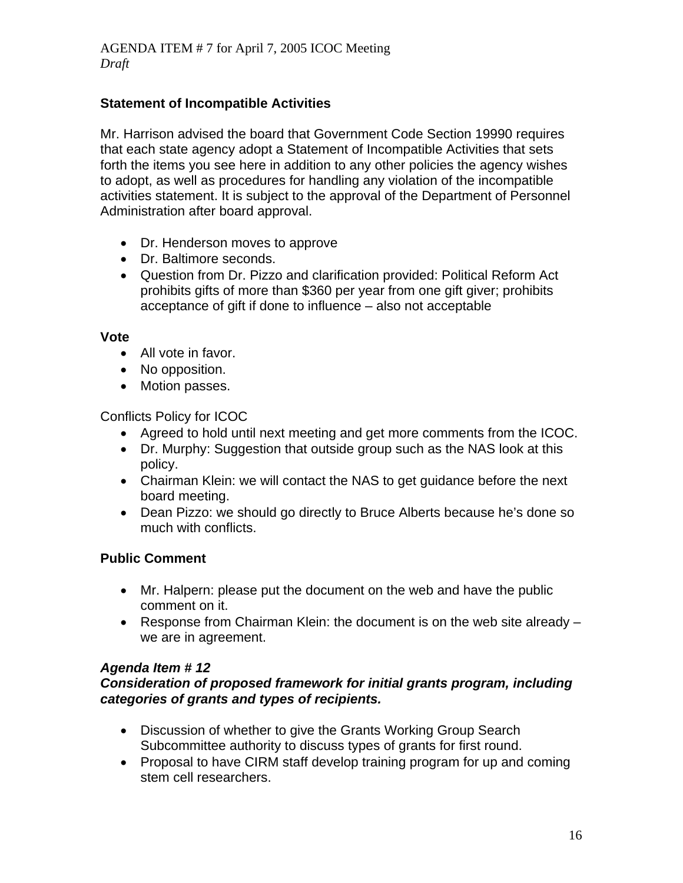## **Statement of Incompatible Activities**

Mr. Harrison advised the board that Government Code Section 19990 requires that each state agency adopt a Statement of Incompatible Activities that sets forth the items you see here in addition to any other policies the agency wishes to adopt, as well as procedures for handling any violation of the incompatible activities statement. It is subject to the approval of the Department of Personnel Administration after board approval.

- Dr. Henderson moves to approve
- Dr. Baltimore seconds.
- Question from Dr. Pizzo and clarification provided: Political Reform Act prohibits gifts of more than \$360 per year from one gift giver; prohibits acceptance of gift if done to influence – also not acceptable

#### **Vote**

- All vote in favor.
- No opposition.
- Motion passes.

Conflicts Policy for ICOC

- Agreed to hold until next meeting and get more comments from the ICOC.
- Dr. Murphy: Suggestion that outside group such as the NAS look at this policy.
- Chairman Klein: we will contact the NAS to get guidance before the next board meeting.
- Dean Pizzo: we should go directly to Bruce Alberts because he's done so much with conflicts.

## **Public Comment**

- Mr. Halpern: please put the document on the web and have the public comment on it.
- Response from Chairman Klein: the document is on the web site already we are in agreement.

#### *Agenda Item # 12*

#### *Consideration of proposed framework for initial grants program, including categories of grants and types of recipients.*

- Discussion of whether to give the Grants Working Group Search Subcommittee authority to discuss types of grants for first round.
- Proposal to have CIRM staff develop training program for up and coming stem cell researchers.